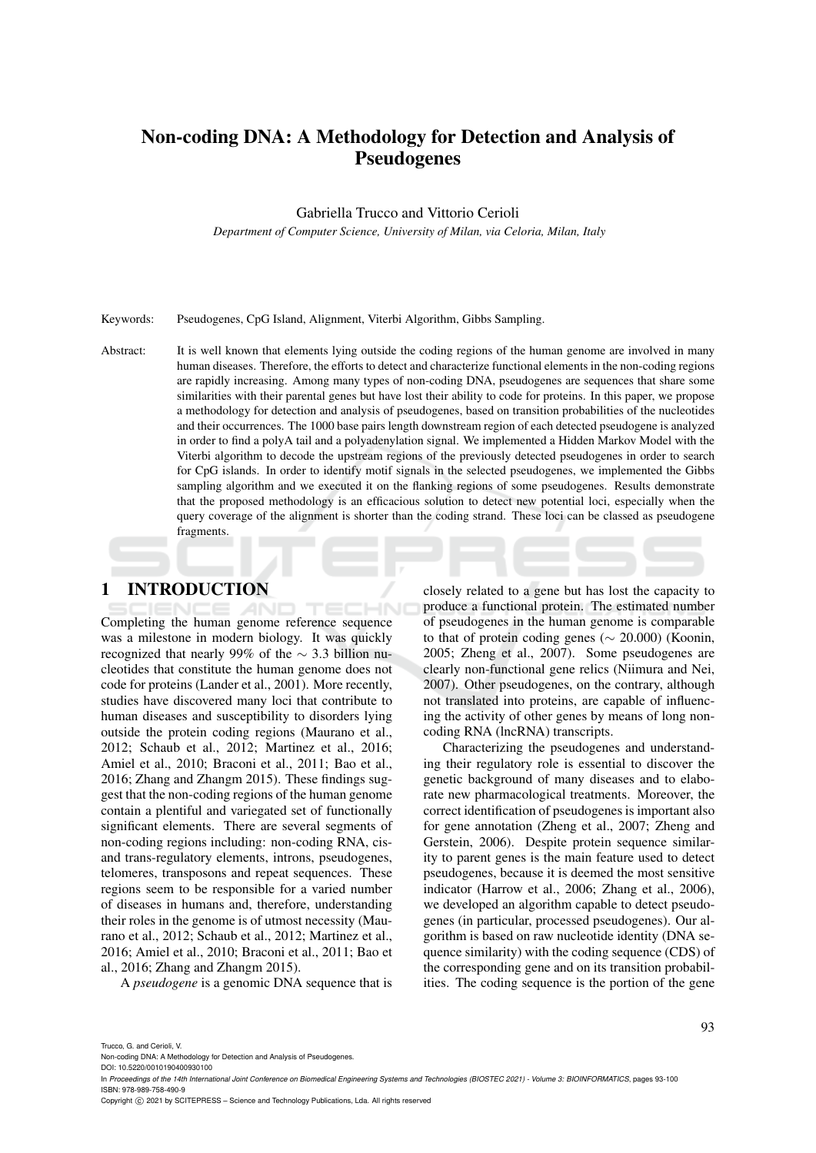# Non-coding DNA: A Methodology for Detection and Analysis of Pseudogenes

Gabriella Trucco and Vittorio Cerioli

*Department of Computer Science, University of Milan, via Celoria, Milan, Italy*

Keywords: Pseudogenes, CpG Island, Alignment, Viterbi Algorithm, Gibbs Sampling.

Abstract: It is well known that elements lying outside the coding regions of the human genome are involved in many human diseases. Therefore, the efforts to detect and characterize functional elements in the non-coding regions are rapidly increasing. Among many types of non-coding DNA, pseudogenes are sequences that share some similarities with their parental genes but have lost their ability to code for proteins. In this paper, we propose a methodology for detection and analysis of pseudogenes, based on transition probabilities of the nucleotides and their occurrences. The 1000 base pairs length downstream region of each detected pseudogene is analyzed in order to find a polyA tail and a polyadenylation signal. We implemented a Hidden Markov Model with the Viterbi algorithm to decode the upstream regions of the previously detected pseudogenes in order to search for CpG islands. In order to identify motif signals in the selected pseudogenes, we implemented the Gibbs sampling algorithm and we executed it on the flanking regions of some pseudogenes. Results demonstrate that the proposed methodology is an efficacious solution to detect new potential loci, especially when the query coverage of the alignment is shorter than the coding strand. These loci can be classed as pseudogene fragments.

# 1 INTRODUCTION

Completing the human genome reference sequence was a milestone in modern biology. It was quickly recognized that nearly 99% of the  $\sim$  3.3 billion nucleotides that constitute the human genome does not code for proteins (Lander et al., 2001). More recently, studies have discovered many loci that contribute to human diseases and susceptibility to disorders lying outside the protein coding regions (Maurano et al., 2012; Schaub et al., 2012; Martinez et al., 2016; Amiel et al., 2010; Braconi et al., 2011; Bao et al., 2016; Zhang and Zhangm 2015). These findings suggest that the non-coding regions of the human genome contain a plentiful and variegated set of functionally significant elements. There are several segments of non-coding regions including: non-coding RNA, cisand trans-regulatory elements, introns, pseudogenes, telomeres, transposons and repeat sequences. These regions seem to be responsible for a varied number of diseases in humans and, therefore, understanding their roles in the genome is of utmost necessity (Maurano et al., 2012; Schaub et al., 2012; Martinez et al., 2016; Amiel et al., 2010; Braconi et al., 2011; Bao et al., 2016; Zhang and Zhangm 2015).

A *pseudogene* is a genomic DNA sequence that is

closely related to a gene but has lost the capacity to produce a functional protein. The estimated number of pseudogenes in the human genome is comparable to that of protein coding genes ( $\sim$  20.000) (Koonin, 2005; Zheng et al., 2007). Some pseudogenes are clearly non-functional gene relics (Niimura and Nei, 2007). Other pseudogenes, on the contrary, although not translated into proteins, are capable of influencing the activity of other genes by means of long noncoding RNA (lncRNA) transcripts.

Characterizing the pseudogenes and understanding their regulatory role is essential to discover the genetic background of many diseases and to elaborate new pharmacological treatments. Moreover, the correct identification of pseudogenes is important also for gene annotation (Zheng et al., 2007; Zheng and Gerstein, 2006). Despite protein sequence similarity to parent genes is the main feature used to detect pseudogenes, because it is deemed the most sensitive indicator (Harrow et al., 2006; Zhang et al., 2006), we developed an algorithm capable to detect pseudogenes (in particular, processed pseudogenes). Our algorithm is based on raw nucleotide identity (DNA sequence similarity) with the coding sequence (CDS) of the corresponding gene and on its transition probabilities. The coding sequence is the portion of the gene

Trucco, G. and Cerioli, V.

In Proceedings of the 14th International Joint Conference on Biomedical Engineering Systems and Technologies (BIOSTEC 2021) - Volume 3: BIOINFORMATICS, pages 93-100 ISBN: 978-989-758-490-9

Copyright (C) 2021 by SCITEPRESS - Science and Technology Publications, Lda. All rights reserved

Non-coding DNA: A Methodology for Detection and Analysis of Pseudogenes.

DOI: 10.5220/0010190400930100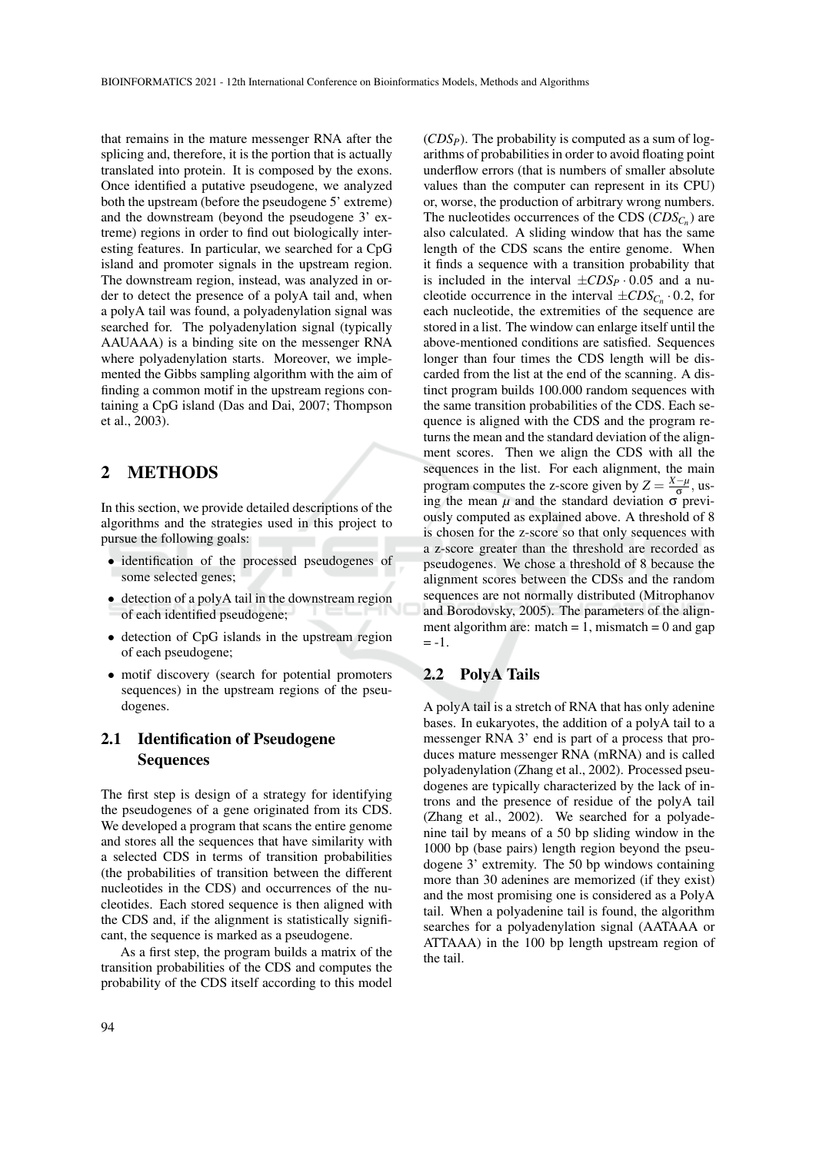that remains in the mature messenger RNA after the splicing and, therefore, it is the portion that is actually translated into protein. It is composed by the exons. Once identified a putative pseudogene, we analyzed both the upstream (before the pseudogene 5' extreme) and the downstream (beyond the pseudogene 3' extreme) regions in order to find out biologically interesting features. In particular, we searched for a CpG island and promoter signals in the upstream region. The downstream region, instead, was analyzed in order to detect the presence of a polyA tail and, when a polyA tail was found, a polyadenylation signal was searched for. The polyadenylation signal (typically AAUAAA) is a binding site on the messenger RNA where polyadenylation starts. Moreover, we implemented the Gibbs sampling algorithm with the aim of finding a common motif in the upstream regions containing a CpG island (Das and Dai, 2007; Thompson et al., 2003).

## 2 METHODS

In this section, we provide detailed descriptions of the algorithms and the strategies used in this project to pursue the following goals:

- identification of the processed pseudogenes of some selected genes;
- detection of a polyA tail in the downstream region of each identified pseudogene;
- detection of CpG islands in the upstream region of each pseudogene;
- motif discovery (search for potential promoters sequences) in the upstream regions of the pseudogenes.

# 2.1 Identification of Pseudogene **Sequences**

The first step is design of a strategy for identifying the pseudogenes of a gene originated from its CDS. We developed a program that scans the entire genome and stores all the sequences that have similarity with a selected CDS in terms of transition probabilities (the probabilities of transition between the different nucleotides in the CDS) and occurrences of the nucleotides. Each stored sequence is then aligned with the CDS and, if the alignment is statistically significant, the sequence is marked as a pseudogene.

As a first step, the program builds a matrix of the transition probabilities of the CDS and computes the probability of the CDS itself according to this model

(*CDSP*). The probability is computed as a sum of logarithms of probabilities in order to avoid floating point underflow errors (that is numbers of smaller absolute values than the computer can represent in its CPU) or, worse, the production of arbitrary wrong numbers. The nucleotides occurrences of the CDS (*CDSC<sup>n</sup>* ) are also calculated. A sliding window that has the same length of the CDS scans the entire genome. When it finds a sequence with a transition probability that is included in the interval  $\pm CDS_P \cdot 0.05$  and a nucleotide occurrence in the interval  $\pm CDS_{C_n} \cdot 0.2$ , for each nucleotide, the extremities of the sequence are stored in a list. The window can enlarge itself until the above-mentioned conditions are satisfied. Sequences longer than four times the CDS length will be discarded from the list at the end of the scanning. A distinct program builds 100.000 random sequences with the same transition probabilities of the CDS. Each sequence is aligned with the CDS and the program returns the mean and the standard deviation of the alignment scores. Then we align the CDS with all the sequences in the list. For each alignment, the main program computes the z-score given by  $Z = \frac{X - \mu}{\sigma}$ , us- $\frac{\partial}{\partial \theta}$  ing the mean *μ* and the standard deviation σ previously computed as explained above. A threshold of 8 is chosen for the z-score so that only sequences with a z-score greater than the threshold are recorded as pseudogenes. We chose a threshold of 8 because the alignment scores between the CDSs and the random sequences are not normally distributed (Mitrophanov and Borodovsky, 2005). The parameters of the alignment algorithm are: match  $= 1$ , mismatch  $= 0$  and gap  $= -1.$ 

## 2.2 PolyA Tails

A polyA tail is a stretch of RNA that has only adenine bases. In eukaryotes, the addition of a polyA tail to a messenger RNA 3' end is part of a process that produces mature messenger RNA (mRNA) and is called polyadenylation (Zhang et al., 2002). Processed pseudogenes are typically characterized by the lack of introns and the presence of residue of the polyA tail (Zhang et al., 2002). We searched for a polyadenine tail by means of a 50 bp sliding window in the 1000 bp (base pairs) length region beyond the pseudogene 3' extremity. The 50 bp windows containing more than 30 adenines are memorized (if they exist) and the most promising one is considered as a PolyA tail. When a polyadenine tail is found, the algorithm searches for a polyadenylation signal (AATAAA or ATTAAA) in the 100 bp length upstream region of the tail.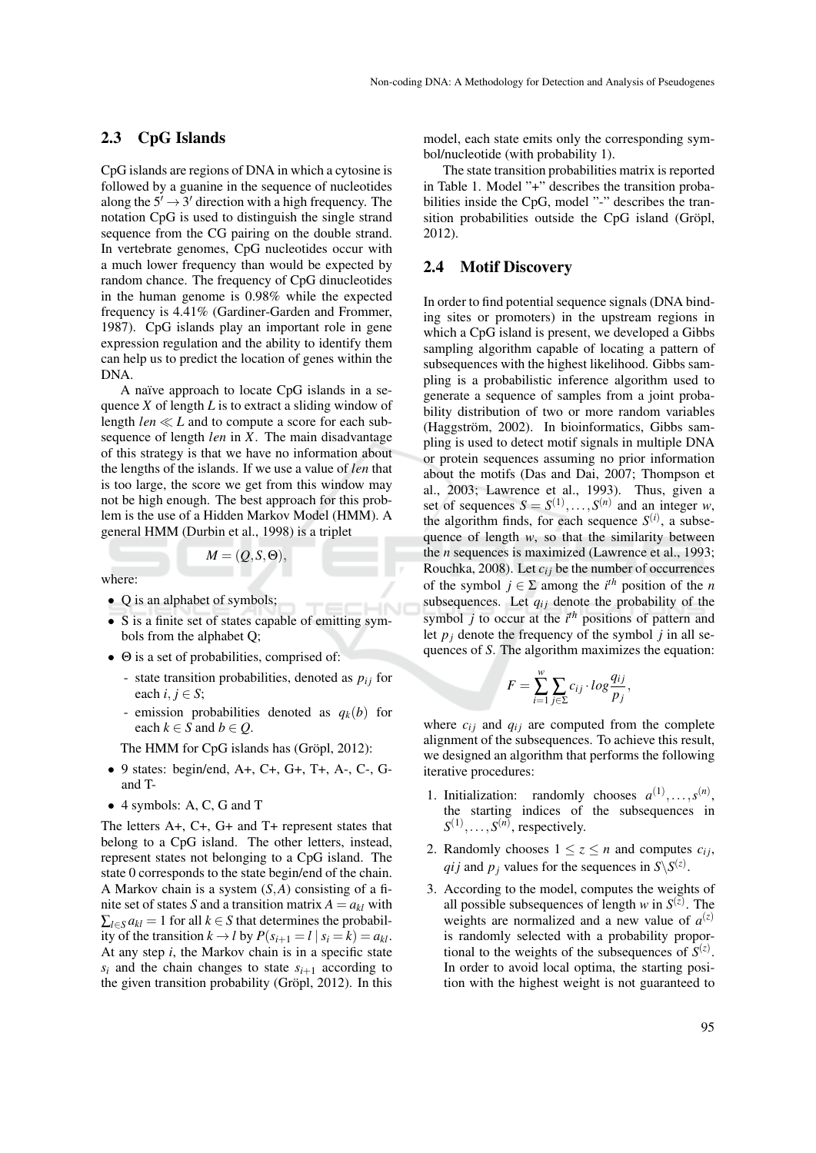### 2.3 CpG Islands

CpG islands are regions of DNA in which a cytosine is followed by a guanine in the sequence of nucleotides along the  $5' \rightarrow 3'$  direction with a high frequency. The notation CpG is used to distinguish the single strand sequence from the CG pairing on the double strand. In vertebrate genomes, CpG nucleotides occur with a much lower frequency than would be expected by random chance. The frequency of CpG dinucleotides in the human genome is 0.98% while the expected frequency is 4.41% (Gardiner-Garden and Frommer, 1987). CpG islands play an important role in gene expression regulation and the ability to identify them can help us to predict the location of genes within the DNA.

A naïve approach to locate CpG islands in a sequence *X* of length *L* is to extract a sliding window of length  $len \ll L$  and to compute a score for each subsequence of length *len* in *X*. The main disadvantage of this strategy is that we have no information about the lengths of the islands. If we use a value of *len* that is too large, the score we get from this window may not be high enough. The best approach for this problem is the use of a Hidden Markov Model (HMM). A general HMM (Durbin et al., 1998) is a triplet

$$
M=(Q,S,\Theta),
$$

where:

- Q is an alphabet of symbols;
- S is a finite set of states capable of emitting symbols from the alphabet Q;
- Θ is a set of probabilities, comprised of:
	- state transition probabilities, denoted as  $p_{ij}$  for each  $i, j \in S$ ;
	- emission probabilities denoted as  $q_k(b)$  for each  $k \in S$  and  $b \in Q$ .

The HMM for CpG islands has (Gröpl, 2012):

- 9 states: begin/end, A+, C+, G+, T+, A-, C-, Gand T-
- 4 symbols: A, C, G and T

The letters A+, C+, G+ and T+ represent states that belong to a CpG island. The other letters, instead, represent states not belonging to a CpG island. The state 0 corresponds to the state begin/end of the chain. A Markov chain is a system (*S*,*A*) consisting of a finite set of states *S* and a transition matrix  $A = a_{kl}$  with  $\sum_{l \in S} a_{kl} = 1$  for all  $k \in S$  that determines the probability of the transition  $k \rightarrow l$  by  $P(s_{i+1} = l | s_i = k) = a_{kl}$ . At any step *i*, the Markov chain is in a specific state  $s_i$  and the chain changes to state  $s_{i+1}$  according to the given transition probability (Gröpl,  $2012$ ). In this model, each state emits only the corresponding symbol/nucleotide (with probability 1).

The state transition probabilities matrix is reported in Table 1. Model "+" describes the transition probabilities inside the CpG, model "-" describes the transition probabilities outside the CpG island (Gröpl, 2012).

#### 2.4 Motif Discovery

In order to find potential sequence signals (DNA binding sites or promoters) in the upstream regions in which a CpG island is present, we developed a Gibbs sampling algorithm capable of locating a pattern of subsequences with the highest likelihood. Gibbs sampling is a probabilistic inference algorithm used to generate a sequence of samples from a joint probability distribution of two or more random variables (Haggström, 2002). In bioinformatics, Gibbs sampling is used to detect motif signals in multiple DNA or protein sequences assuming no prior information about the motifs (Das and Dai, 2007; Thompson et al., 2003; Lawrence et al., 1993). Thus, given a set of sequences  $S = S^{(1)}, \ldots, S^{(n)}$  and an integer *w*, the algorithm finds, for each sequence  $S^{(i)}$ , a subsequence of length *w*, so that the similarity between the *n* sequences is maximized (Lawrence et al., 1993; Rouchka, 2008). Let  $c_{ij}$  be the number of occurrences of the symbol  $j \in \Sigma$  among the *i*<sup>th</sup> position of the *n* subsequences. Let  $q_{ij}$  denote the probability of the symbol *j* to occur at the *i th* positions of pattern and let  $p_j$  denote the frequency of the symbol *j* in all sequences of *S*. The algorithm maximizes the equation:

$$
F = \sum_{i=1}^{w} \sum_{j \in \Sigma} c_{ij} \cdot \log \frac{q_{ij}}{p_j},
$$

where  $c_{ij}$  and  $q_{ij}$  are computed from the complete alignment of the subsequences. To achieve this result, we designed an algorithm that performs the following iterative procedures:

- 1. Initialization: randomly chooses  $a^{(1)}, \ldots, s^{(n)}$ , the starting indices of the subsequences in  $S^{(1)}, \ldots, S^{(n)}$ , respectively.
- 2. Randomly chooses  $1 \le z \le n$  and computes  $c_{ij}$ , *qij* and  $p_j$  values for the sequences in  $S\backslash S^{(z)}$ .
- 3. According to the model, computes the weights of all possible subsequences of length *w* in  $S^{(z)}$ . The weights are normalized and a new value of  $a^{(z)}$ is randomly selected with a probability proportional to the weights of the subsequences of  $S^{(z)}$ . In order to avoid local optima, the starting position with the highest weight is not guaranteed to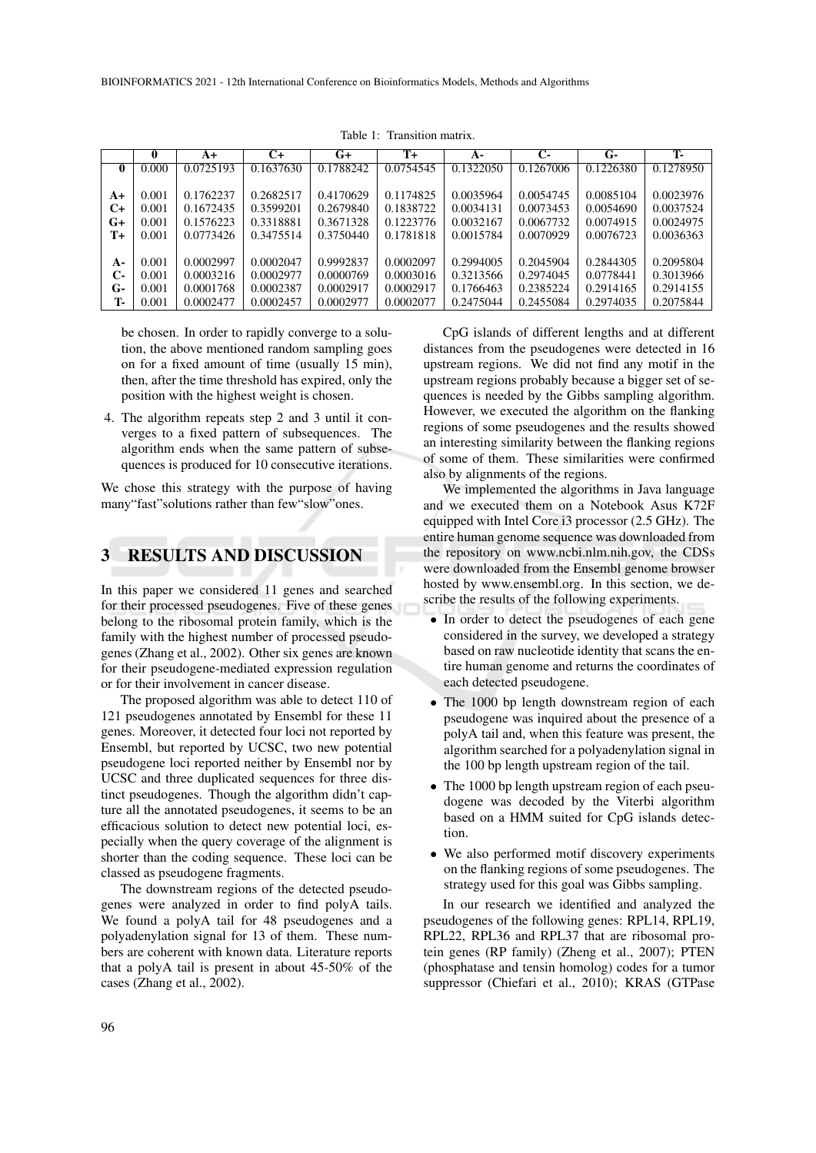|              | $\mathbf{0}$ | $A+$      | C+        | $G+$      | $T+$      | $A -$     | $\mathbf{C}$ | G-        | Т.        |
|--------------|--------------|-----------|-----------|-----------|-----------|-----------|--------------|-----------|-----------|
| $\mathbf{0}$ | 0.000        | 0.0725193 | 0.1637630 | 0.1788242 | 0.0754545 | 0.1322050 | 0.1267006    | 0.1226380 | 0.1278950 |
|              |              |           |           |           |           |           |              |           |           |
| A+           | 0.001        | 0.1762237 | 0.2682517 | 0.4170629 | 0.1174825 | 0.0035964 | 0.0054745    | 0.0085104 | 0.0023976 |
| $C+$         | 0.001        | 0.1672435 | 0.3599201 | 0.2679840 | 0.1838722 | 0.0034131 | 0.0073453    | 0.0054690 | 0.0037524 |
| $G+$         | 0.001        | 0.1576223 | 0.3318881 | 0.3671328 | 0.1223776 | 0.0032167 | 0.0067732    | 0.0074915 | 0.0024975 |
| $T+$         | 0.001        | 0.0773426 | 0.3475514 | 0.3750440 | 0.1781818 | 0.0015784 | 0.0070929    | 0.0076723 | 0.0036363 |
|              |              |           |           |           |           |           |              |           |           |
| $A-$         | 0.001        | 0.0002997 | 0.0002047 | 0.9992837 | 0.0002097 | 0.2994005 | 0.2045904    | 0.2844305 | 0.2095804 |
| С-           | 0.001        | 0.0003216 | 0.0002977 | 0.0000769 | 0.0003016 | 0.3213566 | 0.2974045    | 0.0778441 | 0.3013966 |
| $G-$         | 0.001        | 0.0001768 | 0.0002387 | 0.0002917 | 0.0002917 | 0.1766463 | 0.2385224    | 0.2914165 | 0.2914155 |
| Т.           | 0.001        | 0.0002477 | 0.0002457 | 0.0002977 | 0.0002077 | 0.2475044 | 0.2455084    | 0.2974035 | 0.2075844 |

Table 1: Transition matrix.

be chosen. In order to rapidly converge to a solution, the above mentioned random sampling goes on for a fixed amount of time (usually 15 min), then, after the time threshold has expired, only the position with the highest weight is chosen.

4. The algorithm repeats step 2 and 3 until it converges to a fixed pattern of subsequences. The algorithm ends when the same pattern of subsequences is produced for 10 consecutive iterations.

We chose this strategy with the purpose of having many"fast"solutions rather than few"slow"ones.

## 3 RESULTS AND DISCUSSION

In this paper we considered 11 genes and searched for their processed pseudogenes. Five of these genes belong to the ribosomal protein family, which is the family with the highest number of processed pseudogenes (Zhang et al., 2002). Other six genes are known for their pseudogene-mediated expression regulation or for their involvement in cancer disease.

The proposed algorithm was able to detect 110 of 121 pseudogenes annotated by Ensembl for these 11 genes. Moreover, it detected four loci not reported by Ensembl, but reported by UCSC, two new potential pseudogene loci reported neither by Ensembl nor by UCSC and three duplicated sequences for three distinct pseudogenes. Though the algorithm didn't capture all the annotated pseudogenes, it seems to be an efficacious solution to detect new potential loci, especially when the query coverage of the alignment is shorter than the coding sequence. These loci can be classed as pseudogene fragments.

The downstream regions of the detected pseudogenes were analyzed in order to find polyA tails. We found a polyA tail for 48 pseudogenes and a polyadenylation signal for 13 of them. These numbers are coherent with known data. Literature reports that a polyA tail is present in about 45-50% of the cases (Zhang et al., 2002).

CpG islands of different lengths and at different distances from the pseudogenes were detected in 16 upstream regions. We did not find any motif in the upstream regions probably because a bigger set of sequences is needed by the Gibbs sampling algorithm. However, we executed the algorithm on the flanking regions of some pseudogenes and the results showed an interesting similarity between the flanking regions of some of them. These similarities were confirmed also by alignments of the regions.

We implemented the algorithms in Java language and we executed them on a Notebook Asus K72F equipped with Intel Core i3 processor (2.5 GHz). The entire human genome sequence was downloaded from the repository on www.ncbi.nlm.nih.gov, the CDSs were downloaded from the Ensembl genome browser hosted by www.ensembl.org. In this section, we describe the results of the following experiments.

- In order to detect the pseudogenes of each gene considered in the survey, we developed a strategy based on raw nucleotide identity that scans the entire human genome and returns the coordinates of each detected pseudogene.
- The 1000 bp length downstream region of each pseudogene was inquired about the presence of a polyA tail and, when this feature was present, the algorithm searched for a polyadenylation signal in the 100 bp length upstream region of the tail.
- The 1000 bp length upstream region of each pseudogene was decoded by the Viterbi algorithm based on a HMM suited for CpG islands detection.
- We also performed motif discovery experiments on the flanking regions of some pseudogenes. The strategy used for this goal was Gibbs sampling.

In our research we identified and analyzed the pseudogenes of the following genes: RPL14, RPL19, RPL22, RPL36 and RPL37 that are ribosomal protein genes (RP family) (Zheng et al., 2007); PTEN (phosphatase and tensin homolog) codes for a tumor suppressor (Chiefari et al., 2010); KRAS (GTPase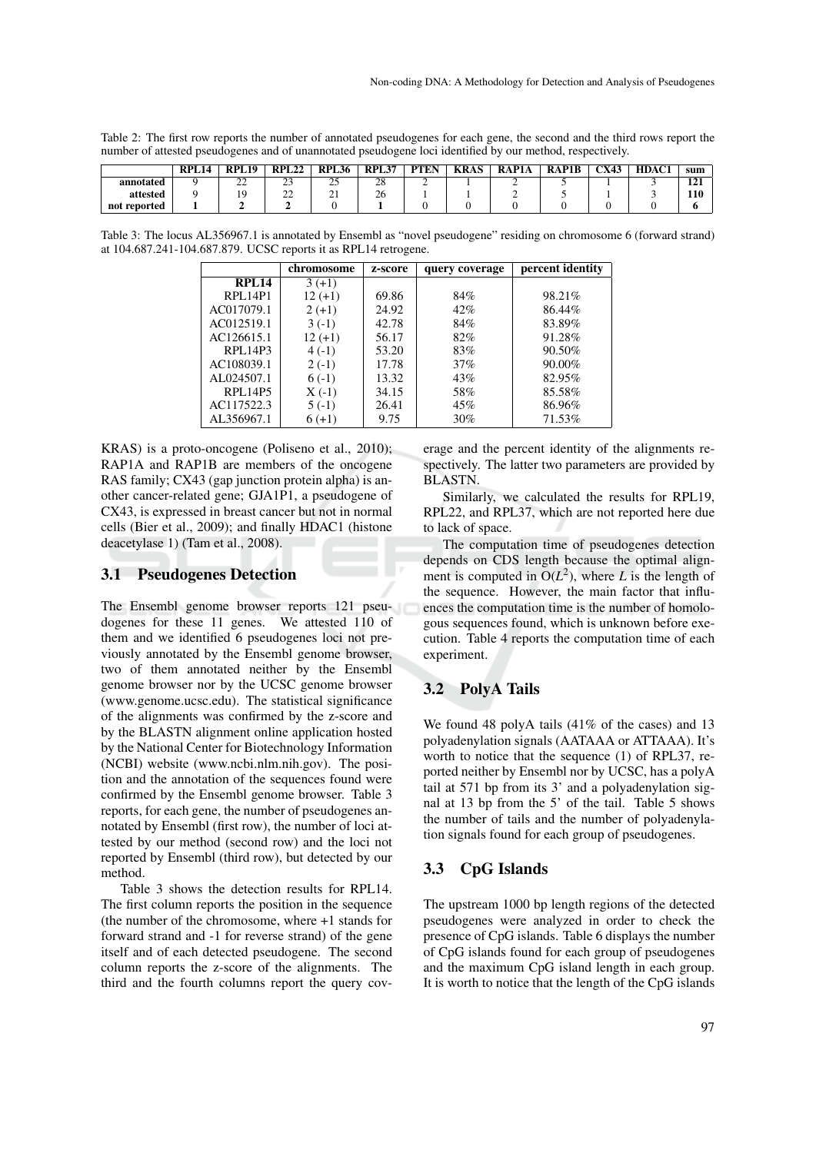| Table 2: The first row reports the number of annotated pseudogenes for each gene, the second and the third rows report the |
|----------------------------------------------------------------------------------------------------------------------------|
| number of attested pseudogenes and of unannotated pseudogene loci identified by our method, respectively.                  |
| RPL14 RPL19 RPL22 RPL36 RPL37 PTEN KRAS RAP1A RAP1B CX43 HDAC1 sum                                                         |

|              | RPL <sub>14</sub> | DDI<br>L19  | <b>RPL22</b>  | <b>RPL36</b> | <b>RPL37</b> | <b>PTEN</b> | <b>KRAS</b> | RAP1A | <b>RAP1B</b> | <b>CX43</b> | HDAC1 | sum              |
|--------------|-------------------|-------------|---------------|--------------|--------------|-------------|-------------|-------|--------------|-------------|-------|------------------|
| annotated    |                   | $\sim$<br>∸ | $\sim$<br>ندڪ | $\sim$<br>رے | o<br>∠٥      | ∼           |             |       |              |             |       | $\bullet$<br>141 |
| attested     |                   |             | $\sim$<br>--  | ∠⊥           | ^`<br>ZΟ     |             |             |       |              |             |       | 110              |
| not reported |                   |             |               |              |              |             |             |       |              |             |       |                  |

Table 3: The locus AL356967.1 is annotated by Ensembl as "novel pseudogene" residing on chromosome 6 (forward strand) at 104.687.241-104.687.879. UCSC reports it as RPL14 retrogene.

|                | chromosome | z-score | query coverage | percent identity |
|----------------|------------|---------|----------------|------------------|
| <b>RPL14</b>   | $3(+1)$    |         |                |                  |
| <b>RPL14P1</b> | $12 (+1)$  | 69.86   | 84%            | 98.21\%          |
| AC017079.1     | $2 (+1)$   | 24.92   | 42%            | 86.44%           |
| AC012519.1     | $3(-1)$    | 42.78   | 84%            | 83.89%           |
| AC126615.1     | $12 (+1)$  | 56.17   | 82%            | 91.28%           |
| RPL14P3        | $4(-1)$    | 53.20   | 83%            | 90.50%           |
| AC108039.1     | $2(-1)$    | 17.78   | 37%            | 90.00%           |
| AL024507.1     | $6(-1)$    | 13.32   | 43%            | 82.95%           |
| RPL14P5        | $X(-1)$    | 34.15   | 58%            | 85.58%           |
| AC117522.3     | $5( -1)$   | 26.41   | 45%            | 86.96%           |
| AL356967.1     | $6(+1)$    | 9.75    | 30%            | 71.53%           |

KRAS) is a proto-oncogene (Poliseno et al., 2010); RAP1A and RAP1B are members of the oncogene RAS family; CX43 (gap junction protein alpha) is another cancer-related gene; GJA1P1, a pseudogene of CX43, is expressed in breast cancer but not in normal cells (Bier et al., 2009); and finally HDAC1 (histone deacetylase 1) (Tam et al., 2008).

#### 3.1 Pseudogenes Detection

The Ensembl genome browser reports 121 pseudogenes for these 11 genes. We attested 110 of them and we identified 6 pseudogenes loci not previously annotated by the Ensembl genome browser, two of them annotated neither by the Ensembl genome browser nor by the UCSC genome browser (www.genome.ucsc.edu). The statistical significance of the alignments was confirmed by the z-score and by the BLASTN alignment online application hosted by the National Center for Biotechnology Information (NCBI) website (www.ncbi.nlm.nih.gov). The position and the annotation of the sequences found were confirmed by the Ensembl genome browser. Table 3 reports, for each gene, the number of pseudogenes annotated by Ensembl (first row), the number of loci attested by our method (second row) and the loci not reported by Ensembl (third row), but detected by our method.

Table 3 shows the detection results for RPL14. The first column reports the position in the sequence (the number of the chromosome, where +1 stands for forward strand and -1 for reverse strand) of the gene itself and of each detected pseudogene. The second column reports the z-score of the alignments. The third and the fourth columns report the query coverage and the percent identity of the alignments respectively. The latter two parameters are provided by BLASTN.

Similarly, we calculated the results for RPL19, RPL22, and RPL37, which are not reported here due to lack of space.

The computation time of pseudogenes detection depends on CDS length because the optimal alignment is computed in  $O(L^2)$ , where *L* is the length of the sequence. However, the main factor that influences the computation time is the number of homologous sequences found, which is unknown before execution. Table 4 reports the computation time of each experiment.

### 3.2 PolyA Tails

We found 48 polyA tails (41% of the cases) and 13 polyadenylation signals (AATAAA or ATTAAA). It's worth to notice that the sequence (1) of RPL37, reported neither by Ensembl nor by UCSC, has a polyA tail at 571 bp from its 3' and a polyadenylation signal at 13 bp from the 5' of the tail. Table 5 shows the number of tails and the number of polyadenylation signals found for each group of pseudogenes.

### 3.3 CpG Islands

The upstream 1000 bp length regions of the detected pseudogenes were analyzed in order to check the presence of CpG islands. Table 6 displays the number of CpG islands found for each group of pseudogenes and the maximum CpG island length in each group. It is worth to notice that the length of the CpG islands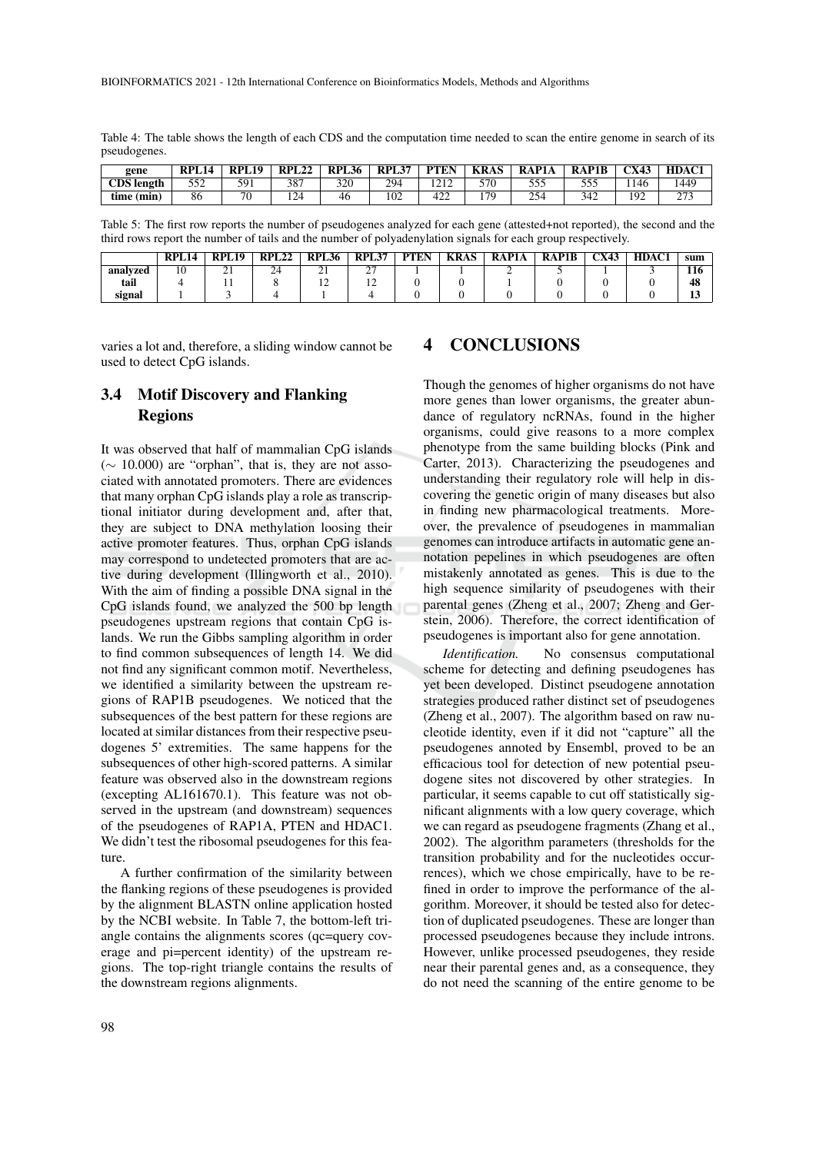Table 4: The table shows the length of each CDS and the computation time needed to scan the entire genome in search of its pseudogenes.

| gene              | DDI | DDI<br>. . 19 | <b>RPL</b><br>22ء | <b>RPL</b><br>L36 | RPL37 | <b>PTEN</b> | KRAS | $^{\backprime}$ P1A<br>R A | <b>RAP1B</b> | CX43     | HDAC1           |
|-------------------|-----|---------------|-------------------|-------------------|-------|-------------|------|----------------------------|--------------|----------|-----------------|
| <b>CDS</b> length | 552 | 591<br>․ ու   | 387               | 320               | 294   | 212<br>---  | 570  | 555                        | 555<br>ັບມ   | 1146     | 1449            |
| time (min)        | 86  | 70            | 124               | 46                | 102   | 422         | 17Q  | 254                        | 342          | 102<br>- | $\sim$<br>- - - |

Table 5: The first row reports the number of pseudogenes analyzed for each gene (attested+not reported), the second and the third rows report the number of tails and the number of polyadenylation signals for each group respectively.

|          | RPL <sub>14</sub> | <b>DDI</b><br>L 19 | <b>RPL22</b> | <b>DDI</b><br>L36<br>л | <b>RPL37</b> | <b>PTEN</b> | <b>KRAS</b> | RAP1A | <b>RAP1B</b> | CX43 | <b>HDAC1</b> | sum      |
|----------|-------------------|--------------------|--------------|------------------------|--------------|-------------|-------------|-------|--------------|------|--------------|----------|
| analyzed | 10                | $\sim$<br>∸ ⊥      | $\sim$<br>24 | <u>_</u>               | $\sim$<br>∼  |             |             |       |              |      |              | .<br>110 |
| tail     |                   |                    |              |                        | . .          |             |             |       |              |      |              | 48       |
| signal   |                   |                    |              |                        |              |             |             |       |              |      |              | -        |

varies a lot and, therefore, a sliding window cannot be used to detect CpG islands.

# 3.4 Motif Discovery and Flanking Regions

It was observed that half of mammalian CpG islands  $(\sim 10.000)$  are "orphan", that is, they are not associated with annotated promoters. There are evidences that many orphan CpG islands play a role as transcriptional initiator during development and, after that, they are subject to DNA methylation loosing their active promoter features. Thus, orphan CpG islands may correspond to undetected promoters that are active during development (Illingworth et al., 2010). With the aim of finding a possible DNA signal in the CpG islands found, we analyzed the 500 bp length pseudogenes upstream regions that contain CpG islands. We run the Gibbs sampling algorithm in order to find common subsequences of length 14. We did not find any significant common motif. Nevertheless, we identified a similarity between the upstream regions of RAP1B pseudogenes. We noticed that the subsequences of the best pattern for these regions are located at similar distances from their respective pseudogenes 5' extremities. The same happens for the subsequences of other high-scored patterns. A similar feature was observed also in the downstream regions (excepting AL161670.1). This feature was not observed in the upstream (and downstream) sequences of the pseudogenes of RAP1A, PTEN and HDAC1. We didn't test the ribosomal pseudogenes for this feature.

A further confirmation of the similarity between the flanking regions of these pseudogenes is provided by the alignment BLASTN online application hosted by the NCBI website. In Table 7, the bottom-left triangle contains the alignments scores (qc=query coverage and pi=percent identity) of the upstream regions. The top-right triangle contains the results of the downstream regions alignments.

# 4 CONCLUSIONS

Though the genomes of higher organisms do not have more genes than lower organisms, the greater abundance of regulatory ncRNAs, found in the higher organisms, could give reasons to a more complex phenotype from the same building blocks (Pink and Carter, 2013). Characterizing the pseudogenes and understanding their regulatory role will help in discovering the genetic origin of many diseases but also in finding new pharmacological treatments. Moreover, the prevalence of pseudogenes in mammalian genomes can introduce artifacts in automatic gene annotation pepelines in which pseudogenes are often mistakenly annotated as genes. This is due to the high sequence similarity of pseudogenes with their parental genes (Zheng et al., 2007; Zheng and Gerstein, 2006). Therefore, the correct identification of pseudogenes is important also for gene annotation.

*Identification.* No consensus computational scheme for detecting and defining pseudogenes has yet been developed. Distinct pseudogene annotation strategies produced rather distinct set of pseudogenes (Zheng et al., 2007). The algorithm based on raw nucleotide identity, even if it did not "capture" all the pseudogenes annoted by Ensembl, proved to be an efficacious tool for detection of new potential pseudogene sites not discovered by other strategies. In particular, it seems capable to cut off statistically significant alignments with a low query coverage, which we can regard as pseudogene fragments (Zhang et al., 2002). The algorithm parameters (thresholds for the transition probability and for the nucleotides occurrences), which we chose empirically, have to be refined in order to improve the performance of the algorithm. Moreover, it should be tested also for detection of duplicated pseudogenes. These are longer than processed pseudogenes because they include introns. However, unlike processed pseudogenes, they reside near their parental genes and, as a consequence, they do not need the scanning of the entire genome to be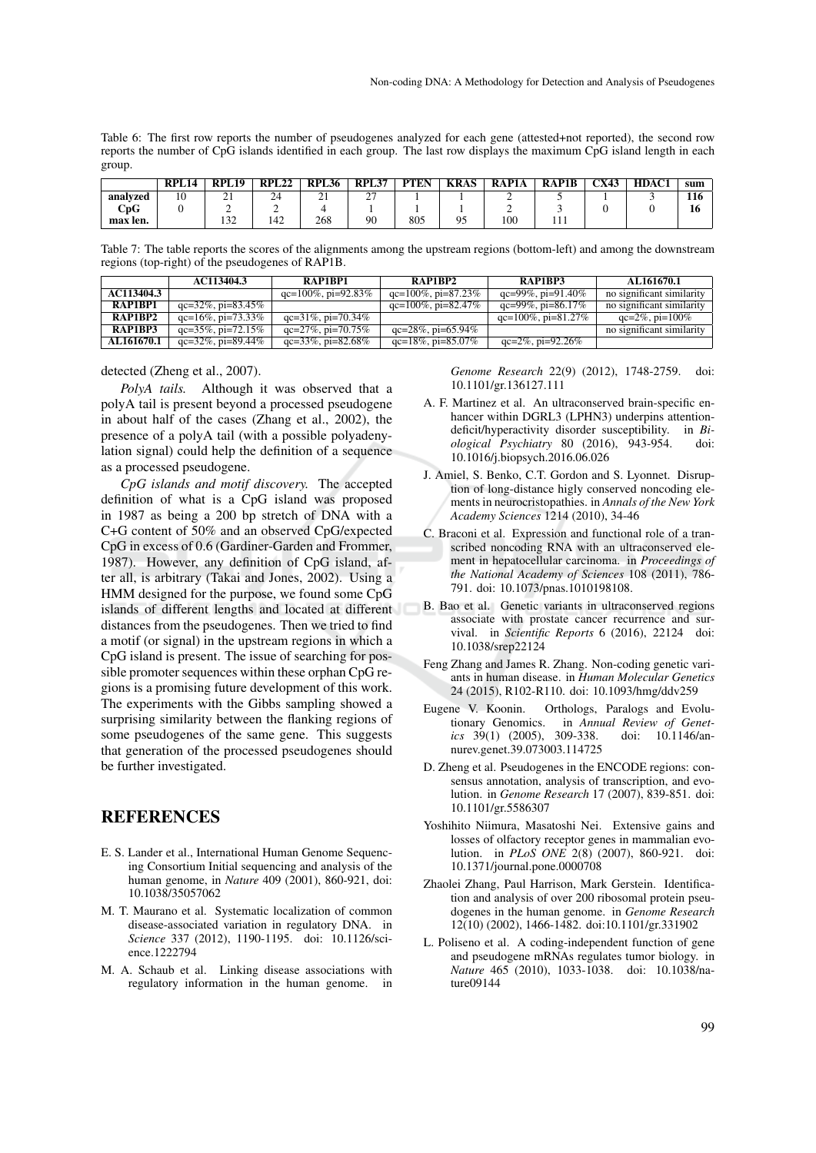Table 6: The first row reports the number of pseudogenes analyzed for each gene (attested+not reported), the second row reports the number of CpG islands identified in each group. The last row displays the maximum CpG island length in each group.

|                                  | <b>RPL14</b> | RPI.19            | <b>RPL22</b> | <b>RPL36</b>           | <b>RPL37</b> | <b>PTEN</b> | <b>KRAS</b> | <b>RAP1A</b> | <b>RAP1B</b> | <b>CX43</b> | HDAC1 | sum |
|----------------------------------|--------------|-------------------|--------------|------------------------|--------------|-------------|-------------|--------------|--------------|-------------|-------|-----|
| analvzed                         | 10           | $\sim$<br>∠⊥      | 24           | $^{\circ}$<br>$\sim$ 1 | $\sim$<br>-  |             |             |              |              |             |       | 116 |
| $\mathbf{C}\mathbf{p}\mathbf{G}$ |              |                   |              |                        |              |             |             |              |              |             |       | 16  |
| max len.                         |              | $\sqrt{2}$<br>192 | 142          | 268                    | 90           | 805         | 05<br>ں ر   | 100          | .            |             |       |     |

Table 7: The table reports the scores of the alignments among the upstream regions (bottom-left) and among the downstream regions (top-right) of the pseudogenes of RAP1B.

|            | AC113404.3               | RAP1BP1                  | RAP1BP2                  | RAP1BP3                   | AL161670.1                |
|------------|--------------------------|--------------------------|--------------------------|---------------------------|---------------------------|
| AC113404.3 |                          | $qc=100\%$ , pi=92.83%   | $qc=100\%$ , pi=87.23%   | qc=99%, pi=91.40%         | no significant similarity |
| RAP1BP1    | $qc=32\%$ , $pi=83.45\%$ |                          | qc=100%, pi=82.47%       | qc=99%, pi=86.17%         | no significant similarity |
| RAP1BP2    | $qc=16\%$ , $pi=73.33\%$ | $qc=31\%$ , $pi=70.34\%$ |                          | $qc=100\%$ , $pi=81.27\%$ | $qc=2\%$ , $pi=100\%$     |
| RAP1BP3    | $qc=35\%$ , $pi=72.15\%$ | $qc=27\%$ , $pi=70.75\%$ | $qc=28\%$ , pi=65.94%    |                           | no significant similarity |
| AL161670.1 | $qc=32\%$ , $pi=89.44\%$ | qc=33%, pi=82.68%        | $qc=18\%$ , $pi=85.07\%$ | $qc=2\%$ , $pi=92.26\%$   |                           |

detected (Zheng et al., 2007).

*PolyA tails.* Although it was observed that a polyA tail is present beyond a processed pseudogene in about half of the cases (Zhang et al., 2002), the presence of a polyA tail (with a possible polyadenylation signal) could help the definition of a sequence as a processed pseudogene.

*CpG islands and motif discovery.* The accepted definition of what is a CpG island was proposed in 1987 as being a 200 bp stretch of DNA with a C+G content of 50% and an observed CpG/expected CpG in excess of 0.6 (Gardiner-Garden and Frommer, 1987). However, any definition of CpG island, after all, is arbitrary (Takai and Jones, 2002). Using a HMM designed for the purpose, we found some CpG islands of different lengths and located at different distances from the pseudogenes. Then we tried to find a motif (or signal) in the upstream regions in which a CpG island is present. The issue of searching for possible promoter sequences within these orphan CpG regions is a promising future development of this work. The experiments with the Gibbs sampling showed a surprising similarity between the flanking regions of some pseudogenes of the same gene. This suggests that generation of the processed pseudogenes should be further investigated.

## REFERENCES

- E. S. Lander et al., International Human Genome Sequencing Consortium Initial sequencing and analysis of the human genome, in *Nature* 409 (2001), 860-921, doi: 10.1038/35057062
- M. T. Maurano et al. Systematic localization of common disease-associated variation in regulatory DNA. in *Science* 337 (2012), 1190-1195. doi: 10.1126/science.1222794
- M. A. Schaub et al. Linking disease associations with regulatory information in the human genome. in

*Genome Research* 22(9) (2012), 1748-2759. doi: 10.1101/gr.136127.111

- A. F. Martinez et al. An ultraconserved brain-specific enhancer within DGRL3 (LPHN3) underpins attentiondeficit/hyperactivity disorder susceptibility. in *Biological Psychiatry* 80 (2016), 943-954. doi: 10.1016/j.biopsych.2016.06.026
- J. Amiel, S. Benko, C.T. Gordon and S. Lyonnet. Disruption of long-distance higly conserved noncoding elements in neurocristopathies. in *Annals of the New York Academy Sciences* 1214 (2010), 34-46
- C. Braconi et al. Expression and functional role of a transcribed noncoding RNA with an ultraconserved element in hepatocellular carcinoma. in *Proceedings of the National Academy of Sciences* 108 (2011), 786- 791. doi: 10.1073/pnas.1010198108.
- B. Bao et al. Genetic variants in ultraconserved regions associate with prostate cancer recurrence and survival. in *Scientific Reports* 6 (2016), 22124 doi: 10.1038/srep22124
- Feng Zhang and James R. Zhang. Non-coding genetic variants in human disease. in *Human Molecular Genetics* 24 (2015), R102-R110. doi: 10.1093/hmg/ddv259
- Eugene V. Koonin. Orthologs, Paralogs and Evolutionary Genomics. in *Annual Review of Genetics* 39(1) (2005), 309-338. doi: 10.1146/annurev.genet.39.073003.114725
- D. Zheng et al. Pseudogenes in the ENCODE regions: consensus annotation, analysis of transcription, and evolution. in *Genome Research* 17 (2007), 839-851. doi: 10.1101/gr.5586307
- Yoshihito Niimura, Masatoshi Nei. Extensive gains and losses of olfactory receptor genes in mammalian evolution. in *PLoS ONE* 2(8) (2007), 860-921. doi: 10.1371/journal.pone.0000708
- Zhaolei Zhang, Paul Harrison, Mark Gerstein. Identification and analysis of over 200 ribosomal protein pseudogenes in the human genome. in *Genome Research* 12(10) (2002), 1466-1482. doi:10.1101/gr.331902
- L. Poliseno et al. A coding-independent function of gene and pseudogene mRNAs regulates tumor biology. in *Nature* 465 (2010), 1033-1038. doi: 10.1038/nature09144